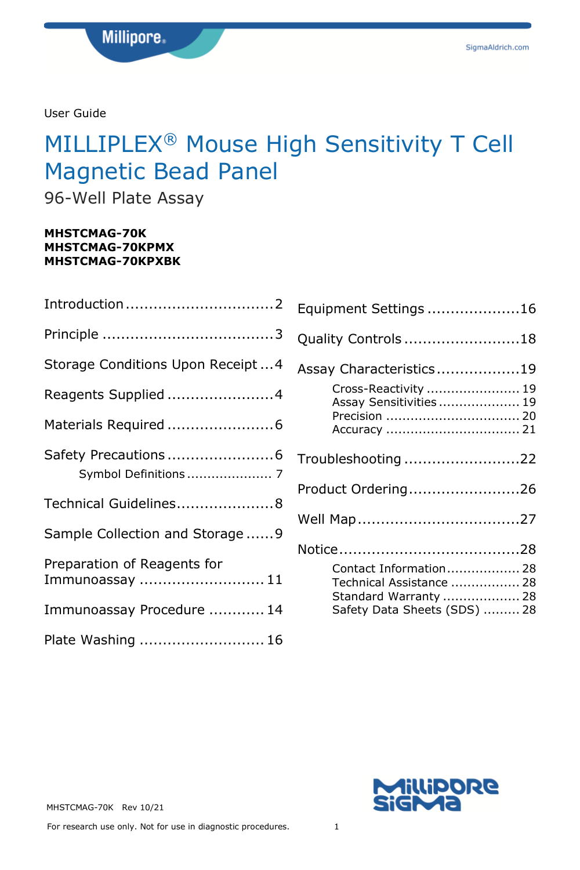User Guide

# MILLIPLEX® Mouse High Sensitivity T Cell Magnetic Bead Panel

96-Well Plate Assay

#### **MHSTCMAG-70K MHSTCMAG-70KPMX MHSTCMAG-70KPXBK**

| Storage Conditions Upon Receipt4               |
|------------------------------------------------|
| Reagents Supplied 4                            |
|                                                |
| Symbol Definitions  7                          |
| Technical Guidelines8                          |
| Sample Collection and Storage9                 |
| Preparation of Reagents for<br>Immunoassay  11 |
| Immunoassay Procedure  14                      |
| Plate Washing  16                              |

| Equipment Settings 16                                                                                       |
|-------------------------------------------------------------------------------------------------------------|
| Quality Controls 18                                                                                         |
| Assay Characteristics19                                                                                     |
| Cross-Reactivity  19<br>Assay Sensitivities  19<br>Precision  20                                            |
| Troubleshooting 22                                                                                          |
| Product Ordering26                                                                                          |
|                                                                                                             |
|                                                                                                             |
| Contact Information 28<br>Technical Assistance  28<br>Standard Warranty  28<br>Safety Data Sheets (SDS)  28 |



MHSTCMAG-70K Rev 10/21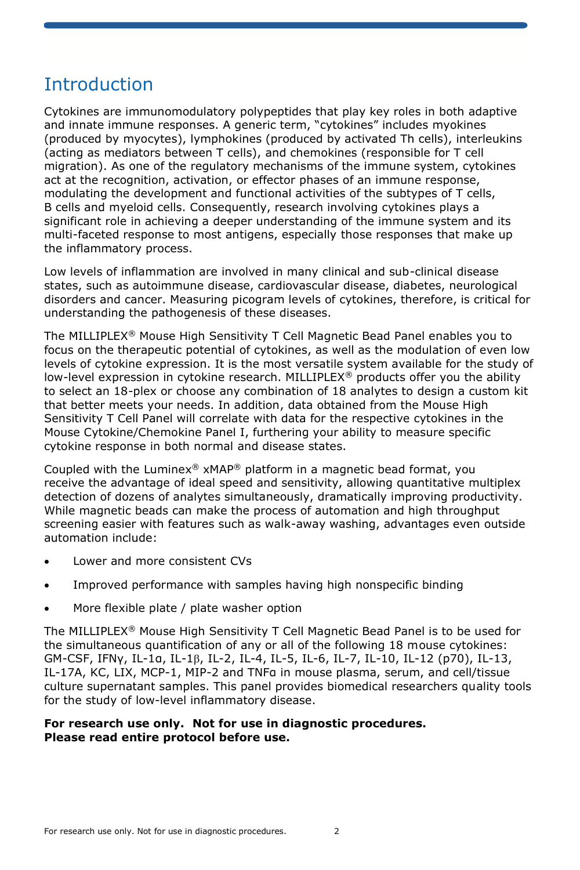### **Introduction**

Cytokines are immunomodulatory polypeptides that play key roles in both adaptive and innate immune responses. A generic term, "cytokines" includes myokines (produced by myocytes), lymphokines (produced by activated Th cells), interleukins (acting as mediators between T cells), and chemokines (responsible for T cell migration). As one of the regulatory mechanisms of the immune system, cytokines act at the recognition, activation, or effector phases of an immune response, modulating the development and functional activities of the subtypes of T cells, B cells and myeloid cells. Consequently, research involving cytokines plays a significant role in achieving a deeper understanding of the immune system and its multi-faceted response to most antigens, especially those responses that make up the inflammatory process.

Low levels of inflammation are involved in many clinical and sub-clinical disease states, such as autoimmune disease, cardiovascular disease, diabetes, neurological disorders and cancer. Measuring picogram levels of cytokines, therefore, is critical for understanding the pathogenesis of these diseases.

The MILLIPLEX® Mouse High Sensitivity T Cell Magnetic Bead Panel enables you to focus on the therapeutic potential of cytokines, as well as the modulation of even low levels of cytokine expression. It is the most versatile system available for the study of low-level expression in cytokine research. MILLIPLEX® products offer you the ability to select an 18-plex or choose any combination of 18 analytes to design a custom kit that better meets your needs. In addition, data obtained from the Mouse High Sensitivity T Cell Panel will correlate with data for the respective cytokines in the Mouse Cytokine/Chemokine Panel I, furthering your ability to measure specific cytokine response in both normal and disease states.

Coupled with the Luminex® xMAP® platform in a magnetic bead format, you receive the advantage of ideal speed and sensitivity, allowing quantitative multiplex detection of dozens of analytes simultaneously, dramatically improving productivity. While magnetic beads can make the process of automation and high throughput screening easier with features such as walk-away washing, advantages even outside automation include:

- Lower and more consistent CVs
- Improved performance with samples having high nonspecific binding
- More flexible plate / plate washer option

The MILLIPLEX® Mouse High Sensitivity T Cell Magnetic Bead Panel is to be used for the simultaneous quantification of any or all of the following 18 mouse cytokines: GM-CSF, IFNγ, IL-1α, IL-1β, IL-2, IL-4, IL-5, IL-6, IL-7, IL-10, IL-12 (p70), IL-13, IL-17A, KC, LIX, MCP-1, MIP-2 and TNFα in mouse plasma, serum, and cell/tissue culture supernatant samples. This panel provides biomedical researchers quality tools for the study of low-level inflammatory disease.

#### **For research use only. Not for use in diagnostic procedures. Please read entire protocol before use.**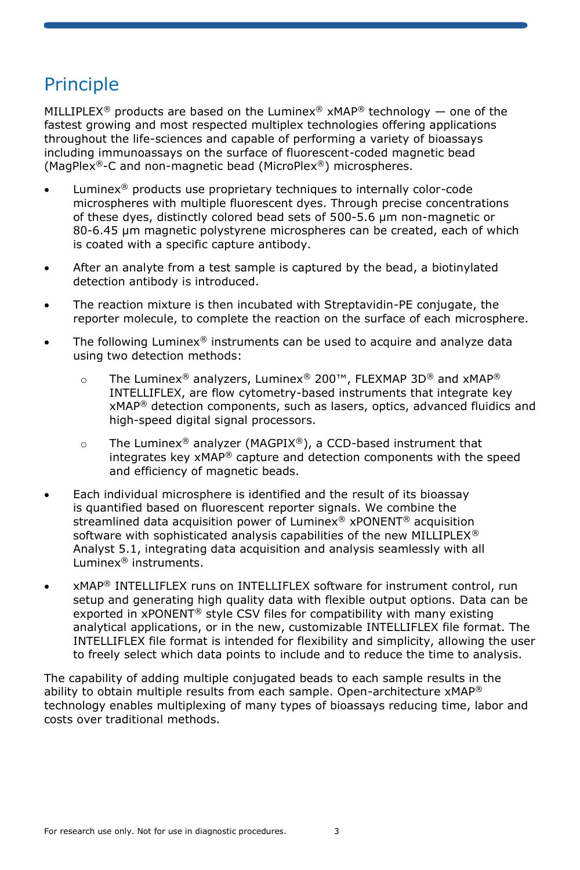## **Principle**

MILLIPLEX<sup>®</sup> products are based on the Luminex® xMAP<sup>®</sup> technology — one of the fastest growing and most respected multiplex technologies offering applications throughout the life-sciences and capable of performing a variety of bioassays including immunoassays on the surface of fluorescent-coded magnetic bead (MagPlex®-C and non-magnetic bead (MicroPlex®) microspheres.

- Luminex<sup>®</sup> products use proprietary techniques to internally color-code microspheres with multiple fluorescent dyes. Through precise concentrations of these dyes, distinctly colored bead sets of 500-5.6 µm non-magnetic or 80-6.45 µm magnetic polystyrene microspheres can be created, each of which is coated with a specific capture antibody.
- After an analyte from a test sample is captured by the bead, a biotinylated detection antibody is introduced.
- The reaction mixture is then incubated with Streptavidin-PE conjugate, the reporter molecule, to complete the reaction on the surface of each microsphere.
- The following Luminex<sup>®</sup> instruments can be used to acquire and analyze data using two detection methods:
	- o The Luminex® analyzers, Luminex® 200™, FLEXMAP 3D® and xMAP® INTELLIFLEX, are flow cytometry-based instruments that integrate key xMAP® detection components, such as lasers, optics, advanced fluidics and high-speed digital signal processors.
	- o The Luminex<sup>®</sup> analyzer (MAGPIX<sup>®</sup>), a CCD-based instrument that integrates key xMAP® capture and detection components with the speed and efficiency of magnetic beads.
- Each individual microsphere is identified and the result of its bioassay is quantified based on fluorescent reporter signals. We combine the streamlined data acquisition power of Luminex® xPONENT® acquisition software with sophisticated analysis capabilities of the new MILLIPLEX<sup>®</sup> Analyst 5.1, integrating data acquisition and analysis seamlessly with all Luminex® instruments.
- xMAP® INTELLIFLEX runs on INTELLIFLEX software for instrument control, run setup and generating high quality data with flexible output options. Data can be exported in xPONENT® style CSV files for compatibility with many existing analytical applications, or in the new, customizable INTELLIFLEX file format. The INTELLIFLEX file format is intended for flexibility and simplicity, allowing the user to freely select which data points to include and to reduce the time to analysis.

The capability of adding multiple conjugated beads to each sample results in the ability to obtain multiple results from each sample. Open-architecture  $x$ MAP<sup>®</sup> technology enables multiplexing of many types of bioassays reducing time, labor and costs over traditional methods.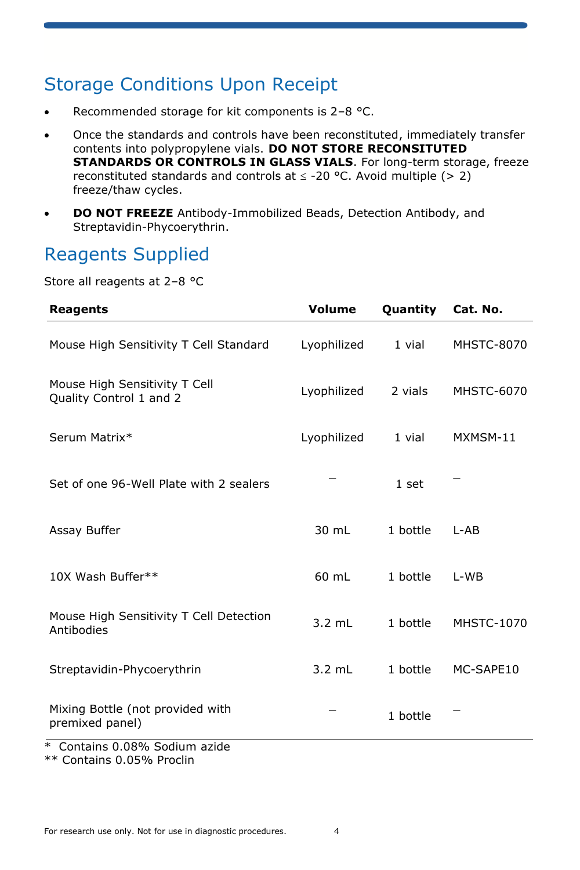### Storage Conditions Upon Receipt

- Recommended storage for kit components is 2–8 °C.
- Once the standards and controls have been reconstituted, immediately transfer contents into polypropylene vials. **DO NOT STORE RECONSITUTED STANDARDS OR CONTROLS IN GLASS VIALS**. For long-term storage, freeze reconstituted standards and controls at  $\leq$  -20 °C. Avoid multiple (> 2) freeze/thaw cycles.
- **DO NOT FREEZE** Antibody-Immobilized Beads, Detection Antibody, and Streptavidin-Phycoerythrin.

## Reagents Supplied

Store all reagents at 2–8 °C

| <b>Reagents</b>                                          | Volume           | Quantity | Cat. No.          |
|----------------------------------------------------------|------------------|----------|-------------------|
| Mouse High Sensitivity T Cell Standard                   | Lyophilized      | 1 vial   | <b>MHSTC-8070</b> |
| Mouse High Sensitivity T Cell<br>Quality Control 1 and 2 | Lyophilized      | 2 vials  | <b>MHSTC-6070</b> |
| Serum Matrix*                                            | Lyophilized      | 1 vial   | MXMSM-11          |
| Set of one 96-Well Plate with 2 sealers                  |                  | 1 set    |                   |
| Assay Buffer                                             | 30 mL            | 1 bottle | L-AB              |
| 10X Wash Buffer**                                        | 60 mL            | 1 bottle | $L-WB$            |
| Mouse High Sensitivity T Cell Detection<br>Antibodies    | $3.2 \text{ mL}$ | 1 bottle | <b>MHSTC-1070</b> |
| Streptavidin-Phycoerythrin                               | $3.2$ mL         | 1 bottle | MC-SAPE10         |
| Mixing Bottle (not provided with<br>premixed panel)      |                  | 1 bottle |                   |
| Containe 0.08% Sodium azide                              |                  |          |                   |

Contains 0.08% Sodium azide

\*\* Contains 0.05% Proclin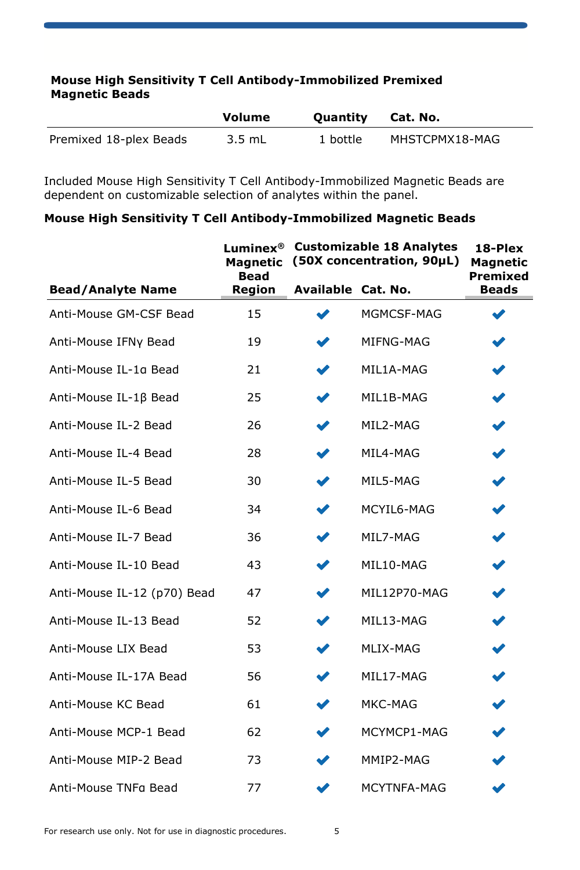#### **Mouse High Sensitivity T Cell Antibody-Immobilized Premixed Magnetic Beads**

|                        | Volume   | <b>Ouantity</b> | Cat. No.       |
|------------------------|----------|-----------------|----------------|
| Premixed 18-plex Beads | $3.5$ mL | 1 bottle        | MHSTCPMX18-MAG |

Included Mouse High Sensitivity T Cell Antibody-Immobilized Magnetic Beads are dependent on customizable selection of analytes within the panel.

#### **Mouse High Sensitivity T Cell Antibody-Immobilized Magnetic Beads**

|                             | Luminex $^\circledR$<br><b>Magnetic</b><br><b>Bead</b> | <b>Customizable 18 Analytes</b><br>(50X concentration, 90µL) |              | 18-Plex<br><b>Magnetic</b><br>Premixed |
|-----------------------------|--------------------------------------------------------|--------------------------------------------------------------|--------------|----------------------------------------|
| <b>Bead/Analyte Name</b>    | Region                                                 | Available Cat. No.                                           |              | <b>Beads</b>                           |
| Anti-Mouse GM-CSF Bead      | 15                                                     |                                                              | MGMCSF-MAG   |                                        |
| Anti-Mouse IFNy Bead        | 19                                                     |                                                              | MIFNG-MAG    |                                        |
| Anti-Mouse IL-1a Bead       | 21                                                     |                                                              | MIL1A-MAG    | ✔                                      |
| Anti-Mouse IL-1ß Bead       | 25                                                     |                                                              | MIL1B-MAG    |                                        |
| Anti-Mouse IL-2 Bead        | 26                                                     |                                                              | MIL2-MAG     | V                                      |
| Anti-Mouse IL-4 Bead        | 28                                                     |                                                              | MIL4-MAG     |                                        |
| Anti-Mouse IL-5 Bead        | 30                                                     |                                                              | MIL5-MAG     | V                                      |
| Anti-Mouse IL-6 Bead        | 34                                                     |                                                              | MCYIL6-MAG   |                                        |
| Anti-Mouse IL-7 Bead        | 36                                                     |                                                              | MIL7-MAG     |                                        |
| Anti-Mouse IL-10 Bead       | 43                                                     |                                                              | MIL10-MAG    |                                        |
| Anti-Mouse IL-12 (p70) Bead | 47                                                     |                                                              | MIL12P70-MAG | v                                      |
| Anti-Mouse IL-13 Bead       | 52                                                     |                                                              | MIL13-MAG    |                                        |
| Anti-Mouse LIX Bead         | 53                                                     |                                                              | MLIX-MAG     |                                        |
| Anti-Mouse IL-17A Bead      | 56                                                     |                                                              | MIL17-MAG    |                                        |
| Anti-Mouse KC Bead          | 61                                                     |                                                              | MKC-MAG      |                                        |
| Anti-Mouse MCP-1 Bead       | 62                                                     |                                                              | MCYMCP1-MAG  |                                        |
| Anti-Mouse MIP-2 Bead       | 73                                                     |                                                              | MMIP2-MAG    |                                        |
| Anti-Mouse TNFa Bead        | 77                                                     |                                                              | MCYTNFA-MAG  |                                        |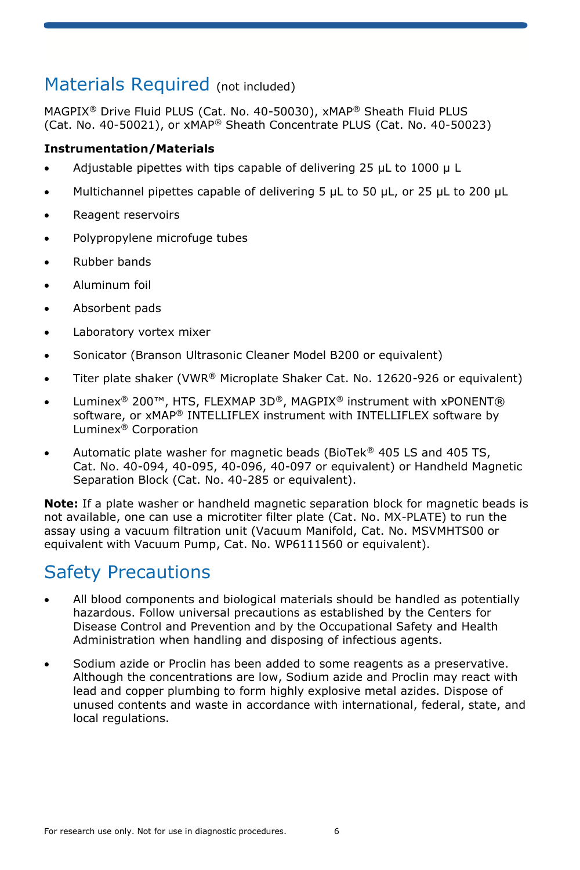### Materials Required (not included)

MAGPIX® Drive Fluid PLUS (Cat. No. 40-50030), xMAP® Sheath Fluid PLUS (Cat. No. 40-50021), or xMAP® Sheath Concentrate PLUS (Cat. No. 40-50023)

#### **Instrumentation/Materials**

- Adjustable pipettes with tips capable of delivering 25 µL to 1000 µ L
- Multichannel pipettes capable of delivering 5 µL to 50 µL, or 25 µL to 200 µL
- Reagent reservoirs
- Polypropylene microfuge tubes
- Rubber bands
- Aluminum foil
- Absorbent pads
- Laboratory vortex mixer
- Sonicator (Branson Ultrasonic Cleaner Model B200 or equivalent)
- Titer plate shaker (VWR® Microplate Shaker Cat. No. 12620-926 or equivalent)
- Luminex<sup>®</sup> 200™, HTS, FLEXMAP 3D®, MAGPIX® instrument with xPONENT® software, or xMAP® INTELLIFLEX instrument with INTELLIFLEX software by Luminex® Corporation
- Automatic plate washer for magnetic beads (BioTek<sup>®</sup> 405 LS and 405 TS, Cat. No. 40-094, 40-095, 40-096, 40-097 or equivalent) or Handheld Magnetic Separation Block (Cat. No. 40-285 or equivalent).

**Note:** If a plate washer or handheld magnetic separation block for magnetic beads is not available, one can use a microtiter filter plate (Cat. No. MX-PLATE) to run the assay using a vacuum filtration unit (Vacuum Manifold, Cat. No. MSVMHTS00 or equivalent with Vacuum Pump, Cat. No. WP6111560 or equivalent).

### Safety Precautions

- All blood components and biological materials should be handled as potentially hazardous. Follow universal precautions as established by the Centers for Disease Control and Prevention and by the Occupational Safety and Health Administration when handling and disposing of infectious agents.
- Sodium azide or Proclin has been added to some reagents as a preservative. Although the concentrations are low, Sodium azide and Proclin may react with lead and copper plumbing to form highly explosive metal azides. Dispose of unused contents and waste in accordance with international, federal, state, and local regulations.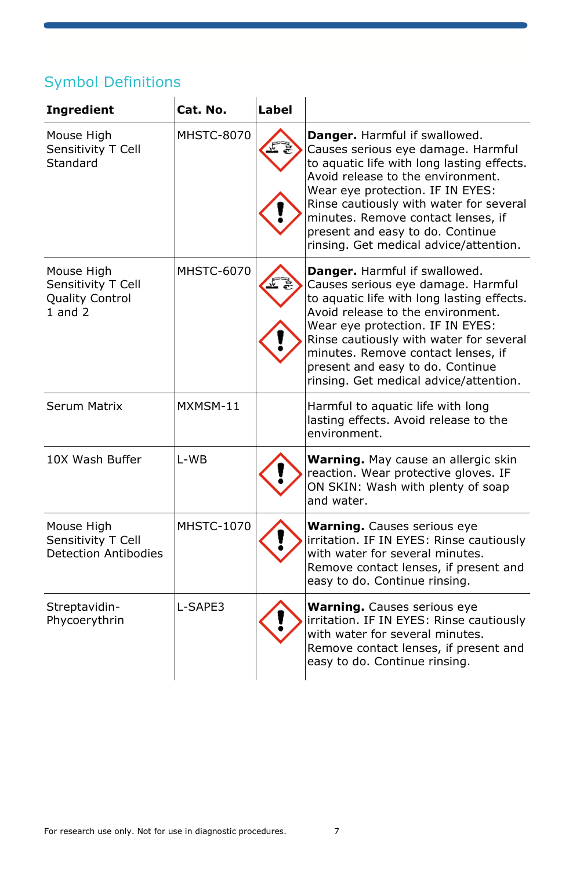### Symbol Definitions

| <b>Ingredient</b>                                                         | Cat. No.          | Label |                                                                                                                                                                                                                                                                                                                                                           |
|---------------------------------------------------------------------------|-------------------|-------|-----------------------------------------------------------------------------------------------------------------------------------------------------------------------------------------------------------------------------------------------------------------------------------------------------------------------------------------------------------|
| Mouse High<br>Sensitivity T Cell<br>Standard                              | <b>MHSTC-8070</b> |       | Danger. Harmful if swallowed.<br>Causes serious eye damage. Harmful<br>to aquatic life with long lasting effects.<br>Avoid release to the environment.<br>Wear eye protection. IF IN EYES:<br>Rinse cautiously with water for several<br>minutes. Remove contact lenses, if<br>present and easy to do. Continue<br>rinsing. Get medical advice/attention. |
| Mouse High<br>Sensitivity T Cell<br><b>Quality Control</b><br>$1$ and $2$ | MHSTC-6070        |       | Danger. Harmful if swallowed.<br>Causes serious eye damage. Harmful<br>to aquatic life with long lasting effects.<br>Avoid release to the environment.<br>Wear eye protection. IF IN EYES:<br>Rinse cautiously with water for several<br>minutes. Remove contact lenses, if<br>present and easy to do. Continue<br>rinsing. Get medical advice/attention. |
| Serum Matrix                                                              | MXMSM-11          |       | Harmful to aquatic life with long<br>lasting effects. Avoid release to the<br>environment.                                                                                                                                                                                                                                                                |
| 10X Wash Buffer                                                           | I-WB              |       | Warning. May cause an allergic skin<br>reaction. Wear protective gloves. IF<br>ON SKIN: Wash with plenty of soap<br>and water.                                                                                                                                                                                                                            |
| Mouse High<br>Sensitivity T Cell<br>Detection Antibodies                  | <b>MHSTC-1070</b> |       | <b>Warning.</b> Causes serious eye<br>irritation. IF IN EYES: Rinse cautiously<br>with water for several minutes.<br>Remove contact lenses, if present and<br>easy to do. Continue rinsing.                                                                                                                                                               |
| Streptavidin-<br>Phycoerythrin                                            | L-SAPE3           |       | <b>Warning.</b> Causes serious eye<br>irritation. IF IN EYES: Rinse cautiously<br>with water for several minutes.<br>Remove contact lenses, if present and<br>easy to do. Continue rinsing.                                                                                                                                                               |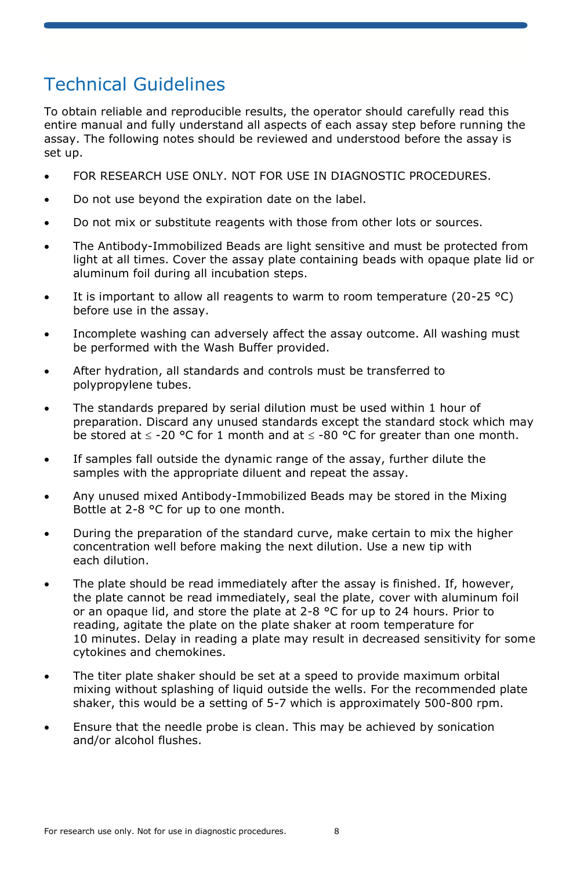## Technical Guidelines

To obtain reliable and reproducible results, the operator should carefully read this entire manual and fully understand all aspects of each assay step before running the assay. The following notes should be reviewed and understood before the assay is set up.

- FOR RESEARCH USE ONLY. NOT FOR USE IN DIAGNOSTIC PROCEDURES.
- Do not use beyond the expiration date on the label.
- Do not mix or substitute reagents with those from other lots or sources.
- The Antibody-Immobilized Beads are light sensitive and must be protected from light at all times. Cover the assay plate containing beads with opaque plate lid or aluminum foil during all incubation steps.
- It is important to allow all reagents to warm to room temperature (20-25 °C) before use in the assay.
- Incomplete washing can adversely affect the assay outcome. All washing must be performed with the Wash Buffer provided.
- After hydration, all standards and controls must be transferred to polypropylene tubes.
- The standards prepared by serial dilution must be used within 1 hour of preparation. Discard any unused standards except the standard stock which may be stored at  $\le$  -20 °C for 1 month and at  $\le$  -80 °C for greater than one month.
- If samples fall outside the dynamic range of the assay, further dilute the samples with the appropriate diluent and repeat the assay.
- Any unused mixed Antibody-Immobilized Beads may be stored in the Mixing Bottle at 2-8 °C for up to one month.
- During the preparation of the standard curve, make certain to mix the higher concentration well before making the next dilution. Use a new tip with each dilution.
- The plate should be read immediately after the assay is finished. If, however, the plate cannot be read immediately, seal the plate, cover with aluminum foil or an opaque lid, and store the plate at 2-8 °C for up to 24 hours. Prior to reading, agitate the plate on the plate shaker at room temperature for 10 minutes. Delay in reading a plate may result in decreased sensitivity for some cytokines and chemokines.
- The titer plate shaker should be set at a speed to provide maximum orbital mixing without splashing of liquid outside the wells. For the recommended plate shaker, this would be a setting of 5-7 which is approximately 500-800 rpm.
- Ensure that the needle probe is clean. This may be achieved by sonication and/or alcohol flushes.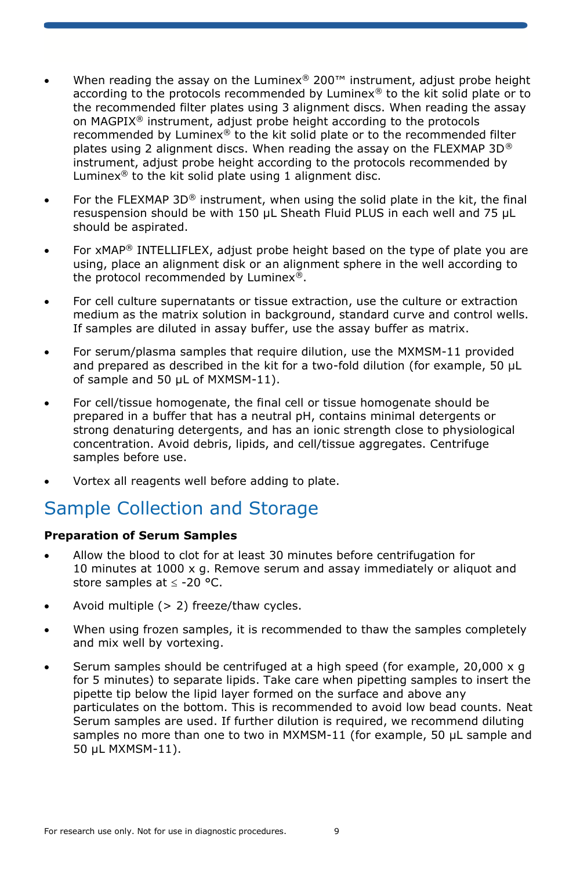- When reading the assay on the Luminex<sup>®</sup> 200<sup>™</sup> instrument, adjust probe height according to the protocols recommended by Luminex<sup>®</sup> to the kit solid plate or to the recommended filter plates using 3 alignment discs. When reading the assay on MAGPIX® instrument, adjust probe height according to the protocols recommended by Luminex $^{\circledR}$  to the kit solid plate or to the recommended filter plates using 2 alignment discs. When reading the assay on the FLEXMAP 3D® instrument, adjust probe height according to the protocols recommended by Luminex® to the kit solid plate using 1 alignment disc.
- For the FLEXMAP  $3D^{\circledast}$  instrument, when using the solid plate in the kit, the final resuspension should be with 150 μL Sheath Fluid PLUS in each well and 75 μL should be aspirated.
- For xMAP<sup>®</sup> INTELLIFLEX, adjust probe height based on the type of plate you are using, place an alignment disk or an alignment sphere in the well according to the protocol recommended by Luminex®.
- For cell culture supernatants or tissue extraction, use the culture or extraction medium as the matrix solution in background, standard curve and control wells. If samples are diluted in assay buffer, use the assay buffer as matrix.
- For serum/plasma samples that require dilution, use the MXMSM-11 provided and prepared as described in the kit for a two-fold dilution (for example, 50 µL of sample and 50 µL of MXMSM-11).
- For cell/tissue homogenate, the final cell or tissue homogenate should be prepared in a buffer that has a neutral pH, contains minimal detergents or strong denaturing detergents, and has an ionic strength close to physiological concentration. Avoid debris, lipids, and cell/tissue aggregates. Centrifuge samples before use.
- Vortex all reagents well before adding to plate.

### Sample Collection and Storage

#### **Preparation of Serum Samples**

- Allow the blood to clot for at least 30 minutes before centrifugation for 10 minutes at 1000 x g. Remove serum and assay immediately or aliquot and store samples at  $\le$  -20 °C.
- Avoid multiple  $(> 2)$  freeze/thaw cycles.
- When using frozen samples, it is recommended to thaw the samples completely and mix well by vortexing.
- Serum samples should be centrifuged at a high speed (for example, 20,000 x g for 5 minutes) to separate lipids. Take care when pipetting samples to insert the pipette tip below the lipid layer formed on the surface and above any particulates on the bottom. This is recommended to avoid low bead counts. Neat Serum samples are used. If further dilution is required, we recommend diluting samples no more than one to two in MXMSM-11 (for example, 50 µL sample and 50 µL MXMSM-11).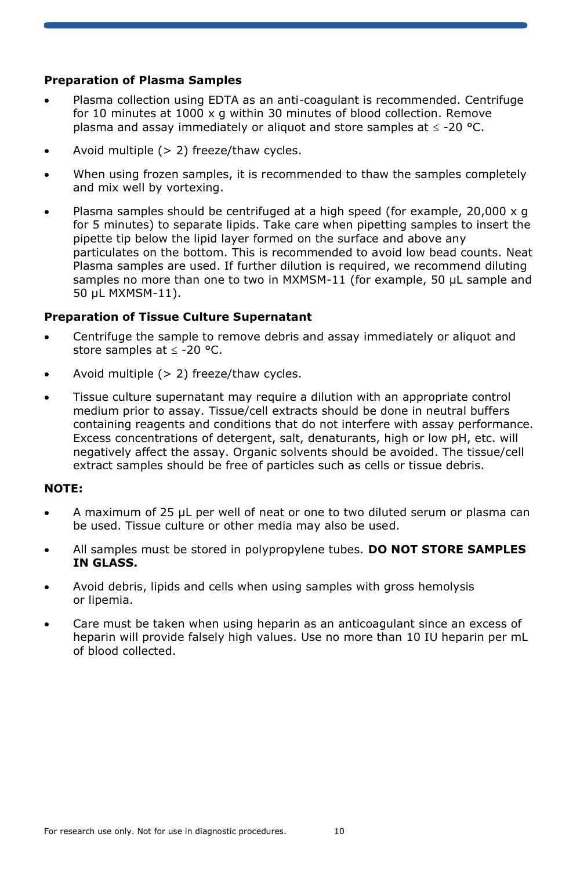#### **Preparation of Plasma Samples**

- Plasma collection using EDTA as an anti-coagulant is recommended. Centrifuge for 10 minutes at 1000 x g within 30 minutes of blood collection. Remove plasma and assay immediately or aliquot and store samples at  $\leq$  -20 °C.
- Avoid multiple  $(> 2)$  freeze/thaw cycles.
- When using frozen samples, it is recommended to thaw the samples completely and mix well by vortexing.
- Plasma samples should be centrifuged at a high speed (for example, 20,000 x g for 5 minutes) to separate lipids. Take care when pipetting samples to insert the pipette tip below the lipid layer formed on the surface and above any particulates on the bottom. This is recommended to avoid low bead counts. Neat Plasma samples are used. If further dilution is required, we recommend diluting samples no more than one to two in MXMSM-11 (for example, 50 µL sample and 50 µL MXMSM-11).

#### **Preparation of Tissue Culture Supernatant**

- Centrifuge the sample to remove debris and assay immediately or aliquot and store samples at  $\leq$  -20 °C.
- Avoid multiple  $(> 2)$  freeze/thaw cycles.
- Tissue culture supernatant may require a dilution with an appropriate control medium prior to assay. Tissue/cell extracts should be done in neutral buffers containing reagents and conditions that do not interfere with assay performance. Excess concentrations of detergent, salt, denaturants, high or low pH, etc. will negatively affect the assay. Organic solvents should be avoided. The tissue/cell extract samples should be free of particles such as cells or tissue debris.

#### **NOTE:**

- A maximum of 25 μL per well of neat or one to two diluted serum or plasma can be used. Tissue culture or other media may also be used.
- All samples must be stored in polypropylene tubes. **DO NOT STORE SAMPLES IN GLASS.**
- Avoid debris, lipids and cells when using samples with gross hemolysis or lipemia.
- Care must be taken when using heparin as an anticoagulant since an excess of heparin will provide falsely high values. Use no more than 10 IU heparin per mL of blood collected.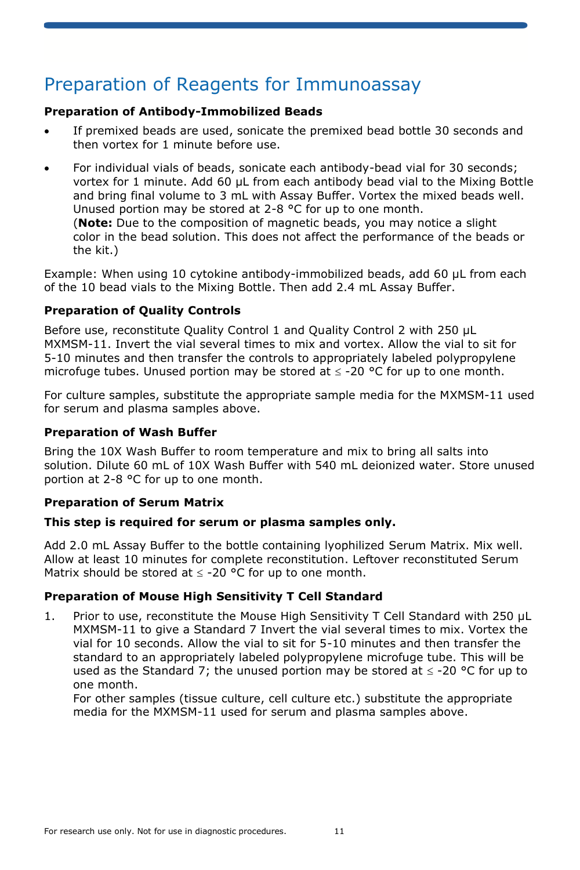## Preparation of Reagents for Immunoassay

#### **Preparation of Antibody-Immobilized Beads**

- If premixed beads are used, sonicate the premixed bead bottle 30 seconds and then vortex for 1 minute before use.
- For individual vials of beads, sonicate each antibody-bead vial for 30 seconds; vortex for 1 minute. Add 60 µL from each antibody bead vial to the Mixing Bottle and bring final volume to 3 mL with Assay Buffer. Vortex the mixed beads well. Unused portion may be stored at 2-8 °C for up to one month. (**Note:** Due to the composition of magnetic beads, you may notice a slight color in the bead solution. This does not affect the performance of the beads or the kit.)

Example: When using 10 cytokine antibody-immobilized beads, add 60 µL from each of the 10 bead vials to the Mixing Bottle. Then add 2.4 mL Assay Buffer.

#### **Preparation of Quality Controls**

Before use, reconstitute Quality Control 1 and Quality Control 2 with 250 µL MXMSM-11. Invert the vial several times to mix and vortex. Allow the vial to sit for 5-10 minutes and then transfer the controls to appropriately labeled polypropylene microfuge tubes. Unused portion may be stored at  $\leq$  -20 °C for up to one month.

For culture samples, substitute the appropriate sample media for the MXMSM-11 used for serum and plasma samples above.

#### **Preparation of Wash Buffer**

Bring the 10X Wash Buffer to room temperature and mix to bring all salts into solution. Dilute 60 mL of 10X Wash Buffer with 540 mL deionized water. Store unused portion at 2-8 °C for up to one month.

#### **Preparation of Serum Matrix**

#### **This step is required for serum or plasma samples only.**

Add 2.0 mL Assay Buffer to the bottle containing lyophilized Serum Matrix. Mix well. Allow at least 10 minutes for complete reconstitution. Leftover reconstituted Serum Matrix should be stored at  $\leq$  -20 °C for up to one month.

#### **Preparation of Mouse High Sensitivity T Cell Standard**

1. Prior to use, reconstitute the Mouse High Sensitivity T Cell Standard with 250 µL MXMSM-11 to give a Standard 7 Invert the vial several times to mix. Vortex the vial for 10 seconds. Allow the vial to sit for 5-10 minutes and then transfer the standard to an appropriately labeled polypropylene microfuge tube. This will be used as the Standard 7; the unused portion may be stored at  $\leq$  -20 °C for up to one month.

For other samples (tissue culture, cell culture etc.) substitute the appropriate media for the MXMSM-11 used for serum and plasma samples above.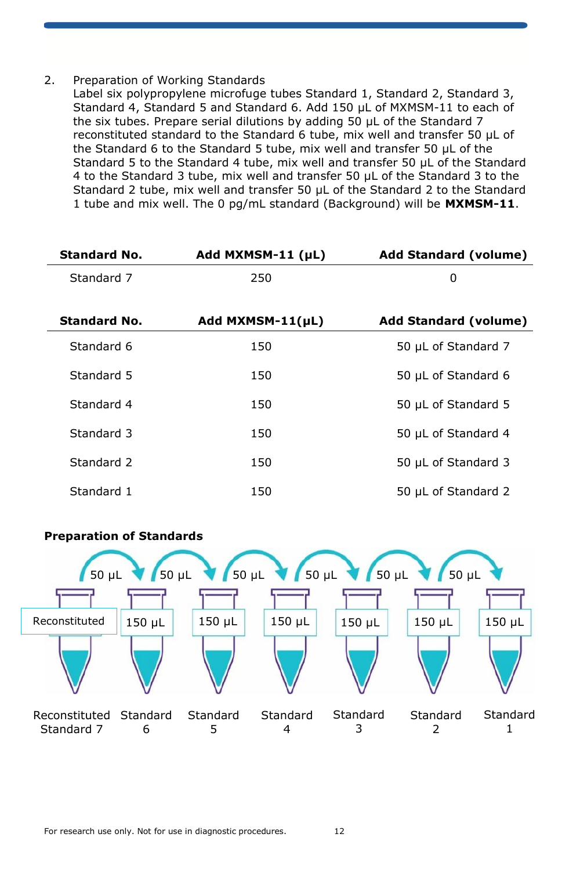#### 2. Preparation of Working Standards

Label six polypropylene microfuge tubes Standard 1, Standard 2, Standard 3, Standard 4, Standard 5 and Standard 6. Add 150 µL of MXMSM-11 to each of the six tubes. Prepare serial dilutions by adding 50 µL of the Standard 7 reconstituted standard to the Standard 6 tube, mix well and transfer 50 µL of the Standard 6 to the Standard 5 tube, mix well and transfer 50 µL of the Standard 5 to the Standard 4 tube, mix well and transfer 50 µL of the Standard 4 to the Standard 3 tube, mix well and transfer 50 µL of the Standard 3 to the Standard 2 tube, mix well and transfer 50 µL of the Standard 2 to the Standard 1 tube and mix well. The 0 pg/mL standard (Background) will be **MXMSM-11**.

| <b>Standard No.</b> | Add MXMSM-11 (µL)     | <b>Add Standard (volume)</b> |
|---------------------|-----------------------|------------------------------|
| Standard 7          | 250                   | 0                            |
|                     |                       |                              |
| <b>Standard No.</b> | Add $MXMSM-11(\mu L)$ | <b>Add Standard (volume)</b> |
| Standard 6          | 150                   | 50 µL of Standard 7          |
| Standard 5          | 150                   | 50 µL of Standard 6          |
| Standard 4          | 150                   | 50 µL of Standard 5          |
| Standard 3          | 150                   | 50 µL of Standard 4          |
| Standard 2          | 150                   | 50 µL of Standard 3          |
| Standard 1          | 150                   | 50 µL of Standard 2          |



### **Preparation of Standards**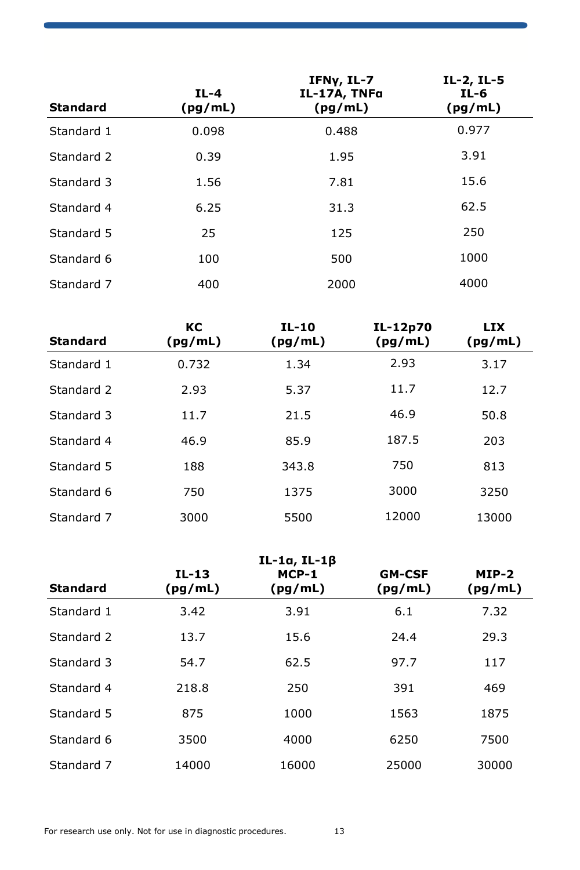| <b>Standard</b> | $IL-4$<br>(pg/mL) | IFNy, IL-7<br>IL-17A, TNFa<br>(pg/mL) | IL-2, IL-5<br>IL-6<br>(pg/mL) |
|-----------------|-------------------|---------------------------------------|-------------------------------|
| Standard 1      | 0.098             | 0.488                                 | 0.977                         |
| Standard 2      | 0.39              | 1.95                                  | 3.91                          |
| Standard 3      | 1.56              | 7.81                                  | 15.6                          |
| Standard 4      | 6.25              | 31.3                                  | 62.5                          |
| Standard 5      | 25                | 125                                   | 250                           |
| Standard 6      | 100               | 500                                   | 1000                          |
| Standard 7      | 400               | 2000                                  | 4000                          |

| <b>Standard</b> | КC<br>(pg/mL) | IL-10<br>(pg/mL) | IL-12p70<br>(pg/mL) | <b>LIX</b><br>(pg/mL) |
|-----------------|---------------|------------------|---------------------|-----------------------|
| Standard 1      | 0.732         | 1.34             | 2.93                | 3.17                  |
| Standard 2      | 2.93          | 5.37             | 11.7                | 12.7                  |
| Standard 3      | 11.7          | 21.5             | 46.9                | 50.8                  |
| Standard 4      | 46.9          | 85.9             | 187.5               | 203                   |
| Standard 5      | 188           | 343.8            | 750                 | 813                   |
| Standard 6      | 750           | 1375             | 3000                | 3250                  |
| Standard 7      | 3000          | 5500             | 12000               | 13000                 |

| <b>Standard</b> | IL-13<br>(pg/mL) | $IL-1a, IL-1\beta$<br>MCP-1<br>(pg/mL) | <b>GM-CSF</b><br>(pg/mL) | $MIP-2$<br>(pg/mL) |
|-----------------|------------------|----------------------------------------|--------------------------|--------------------|
| Standard 1      | 3.42             | 3.91                                   | 6.1                      | 7.32               |
| Standard 2      | 13.7             | 15.6                                   | 24.4                     | 29.3               |
| Standard 3      | 54.7             | 62.5                                   | 97.7                     | 117                |
| Standard 4      | 218.8            | 250                                    | 391                      | 469                |
| Standard 5      | 875              | 1000                                   | 1563                     | 1875               |
| Standard 6      | 3500             | 4000                                   | 6250                     | 7500               |
| Standard 7      | 14000            | 16000                                  | 25000                    | 30000              |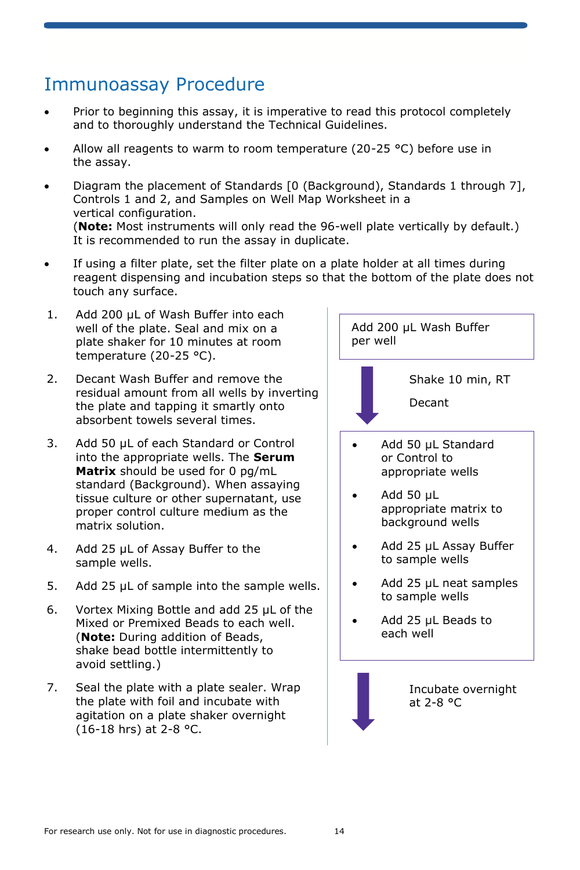### Immunoassay Procedure

- Prior to beginning this assay, it is imperative to read this protocol completely and to thoroughly understand the Technical Guidelines.
- Allow all reagents to warm to room temperature (20-25  $^{\circ}$ C) before use in the assay.
- Diagram the placement of Standards [0 (Background), Standards 1 through 7], Controls 1 and 2, and Samples on Well Map Worksheet in a vertical configuration. (**Note:** Most instruments will only read the 96-well plate vertically by default.) It is recommended to run the assay in duplicate.
- If using a filter plate, set the filter plate on a plate holder at all times during reagent dispensing and incubation steps so that the bottom of the plate does not touch any surface.
- 1. Add 200 µL of Wash Buffer into each well of the plate. Seal and mix on a plate shaker for 10 minutes at room temperature (20-25 °C).
- 2. Decant Wash Buffer and remove the residual amount from all wells by inverting the plate and tapping it smartly onto absorbent towels several times.
- 3. Add 50 µL of each Standard or Control into the appropriate wells. The **Serum Matrix** should be used for 0 pg/mL standard (Background). When assaying tissue culture or other supernatant, use proper control culture medium as the matrix solution.
- 4. Add 25 µL of Assay Buffer to the sample wells.
- 5. Add 25 µL of sample into the sample wells.
- 6. Vortex Mixing Bottle and add 25 µL of the Mixed or Premixed Beads to each well. (**Note:** During addition of Beads, shake bead bottle intermittently to avoid settling.)
- 7. Seal the plate with a plate sealer. Wrap the plate with foil and incubate with agitation on a plate shaker overnight (16-18 hrs) at 2-8 °C.

Add 200 µL Wash Buffer per well Shake 10 min, RT Decant • Add 50 µL Standard or Control to appropriate wells • Add 50 µL appropriate matrix to background wells Add 25 µL Assay Buffer to sample wells Add 25 µL neat samples to sample wells • Add 25 µL Beads to each well Incubate overnight at 2-8 °C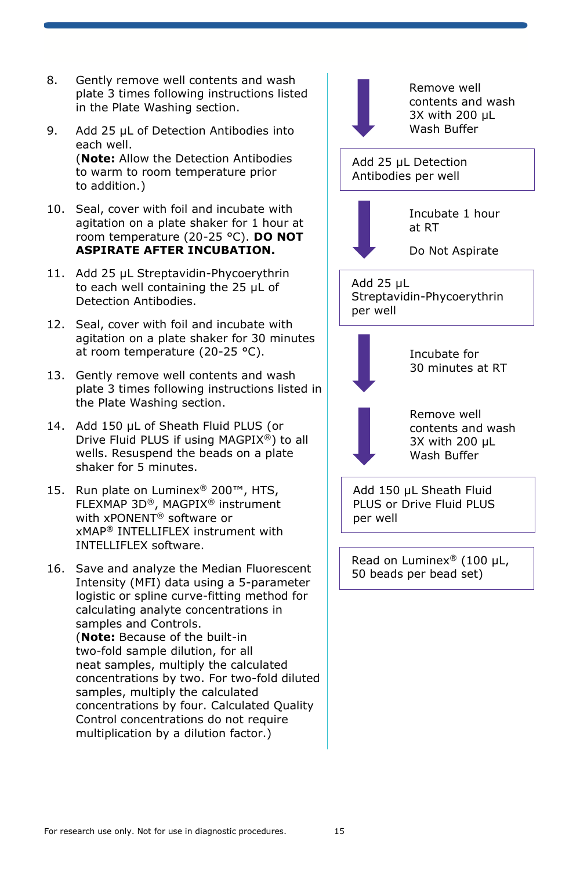- 8. Gently remove well contents and wash plate 3 times following instructions listed in the Plate Washing section.
- 9. Add 25 µL of Detection Antibodies into each well. (**Note:** Allow the Detection Antibodies to warm to room temperature prior to addition.)
- 10. Seal, cover with foil and incubate with agitation on a plate shaker for 1 hour at room temperature (20-25 °C). **DO NOT ASPIRATE AFTER INCUBATION.**
- 11. Add 25 µL Streptavidin-Phycoerythrin to each well containing the 25 µL of Detection Antibodies.
- 12. Seal, cover with foil and incubate with agitation on a plate shaker for 30 minutes at room temperature (20-25 °C).
- 13. Gently remove well contents and wash plate 3 times following instructions listed in the Plate Washing section.
- 14. Add 150 uL of Sheath Fluid PLUS (or Drive Fluid PLUS if using MAGPIX®) to all wells. Resuspend the beads on a plate shaker for 5 minutes.
- 15. Run plate on Luminex® 200™, HTS, FLEXMAP 3D®, MAGPIX® instrument with xPONENT® software or xMAP® INTELLIFLEX instrument with INTELLIFLEX software.
- 16. Save and analyze the Median Fluorescent Intensity (MFI) data using a 5-parameter logistic or spline curve-fitting method for calculating analyte concentrations in samples and Controls. (**Note:** Because of the built-in two-fold sample dilution, for all neat samples, multiply the calculated

concentrations by two. For two-fold diluted samples, multiply the calculated concentrations by four. Calculated Quality Control concentrations do not require multiplication by a dilution factor.)

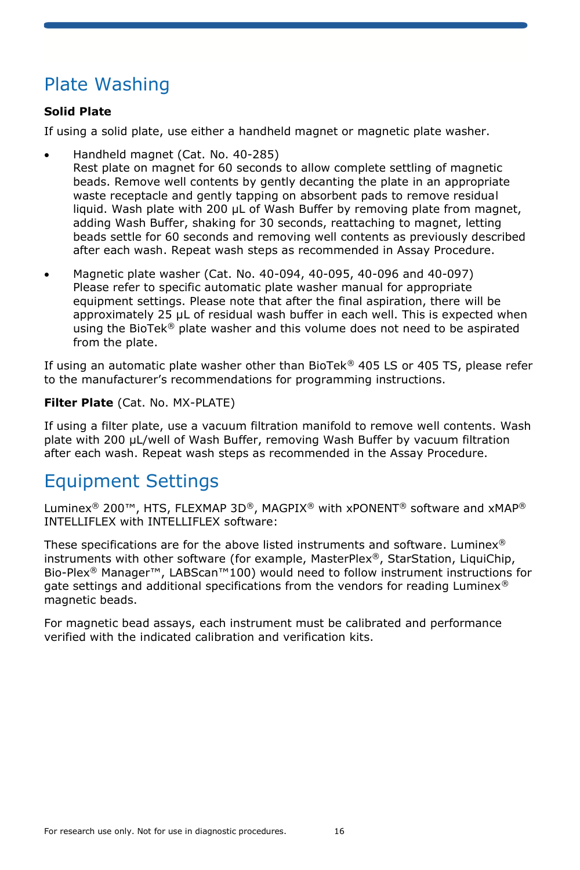## Plate Washing

#### **Solid Plate**

If using a solid plate, use either a handheld magnet or magnetic plate washer.

- Handheld magnet (Cat. No. 40-285) Rest plate on magnet for 60 seconds to allow complete settling of magnetic beads. Remove well contents by gently decanting the plate in an appropriate waste receptacle and gently tapping on absorbent pads to remove residual liquid. Wash plate with 200 µL of Wash Buffer by removing plate from magnet, adding Wash Buffer, shaking for 30 seconds, reattaching to magnet, letting beads settle for 60 seconds and removing well contents as previously described after each wash. Repeat wash steps as recommended in Assay Procedure.
- Magnetic plate washer (Cat. No. 40-094, 40-095, 40-096 and 40-097) Please refer to specific automatic plate washer manual for appropriate equipment settings. Please note that after the final aspiration, there will be approximately 25 µL of residual wash buffer in each well. This is expected when using the BioTek<sup>®</sup> plate washer and this volume does not need to be aspirated from the plate.

If using an automatic plate washer other than BioTek® 405 LS or 405 TS, please refer to the manufacturer's recommendations for programming instructions.

#### **Filter Plate** (Cat. No. MX-PLATE)

If using a filter plate, use a vacuum filtration manifold to remove well contents. Wash plate with 200 µL/well of Wash Buffer, removing Wash Buffer by vacuum filtration after each wash. Repeat wash steps as recommended in the Assay Procedure.

### Equipment Settings

Luminex® 200™, HTS, FLEXMAP 3D®, MAGPIX® with xPONENT® software and xMAP® INTELLIFLEX with INTELLIFLEX software:

These specifications are for the above listed instruments and software. Luminex<sup>®</sup> instruments with other software (for example, MasterPlex®, StarStation, LiquiChip, Bio-Plex® Manager™, LABScan™100) would need to follow instrument instructions for gate settings and additional specifications from the vendors for reading Luminex<sup>®</sup> magnetic beads.

For magnetic bead assays, each instrument must be calibrated and performance verified with the indicated calibration and verification kits.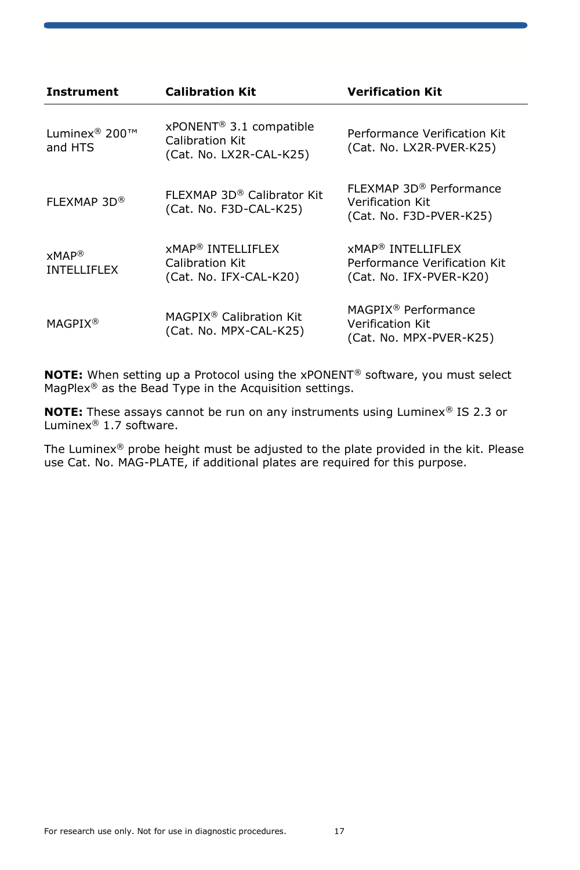| Instrument                             | <b>Calibration Kit</b>                                                            | <b>Verification Kit</b>                                                                        |  |
|----------------------------------------|-----------------------------------------------------------------------------------|------------------------------------------------------------------------------------------------|--|
| Luminex <sup>®</sup> 200™<br>and HTS   | xPONENT <sup>®</sup> 3.1 compatible<br>Calibration Kit<br>(Cat. No. LX2R-CAL-K25) | Performance Verification Kit<br>(Cat. No. LX2R-PVER-K25)                                       |  |
| FLEXMAP 3D®                            | FLEXMAP 3D® Calibrator Kit<br>(Cat. No. F3D-CAL-K25)                              | FLEXMAP 3D® Performance<br>Verification Kit<br>(Cat. No. F3D-PVER-K25)                         |  |
| $xMAP^{\otimes}$<br><b>INTELLIFLEX</b> | <b>xMAP<sup>®</sup> INTELLIFLEX</b><br>Calibration Kit<br>(Cat. No. IFX-CAL-K20)  | <b>xMAP<sup>®</sup> INTELLIFLEX</b><br>Performance Verification Kit<br>(Cat. No. IFX-PVER-K20) |  |
| <b>MAGPIX<sup>®</sup></b>              | MAGPIX <sup>®</sup> Calibration Kit<br>(Cat. No. MPX-CAL-K25)                     | MAGPIX <sup>®</sup> Performance<br>Verification Kit<br>(Cat. No. MPX-PVER-K25)                 |  |

**NOTE:** When setting up a Protocol using the xPONENT® software, you must select MagPlex® as the Bead Type in the Acquisition settings.

**NOTE:** These assays cannot be run on any instruments using Luminex® IS 2.3 or Luminex® 1.7 software.

The Luminex® probe height must be adjusted to the plate provided in the kit. Please use Cat. No. MAG-PLATE, if additional plates are required for this purpose.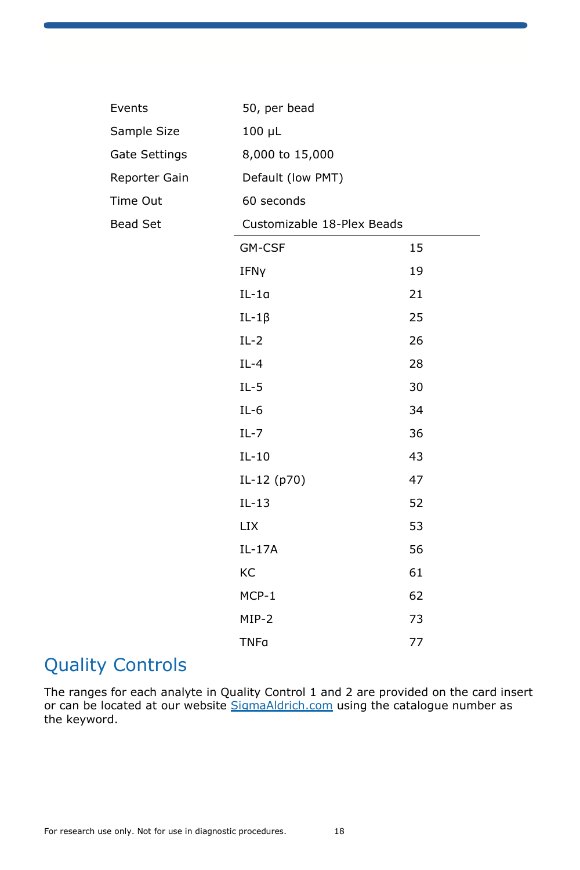| Events        | 50, per bead               |    |  |  |
|---------------|----------------------------|----|--|--|
| Sample Size   | $100 \mu L$                |    |  |  |
| Gate Settings | 8,000 to 15,000            |    |  |  |
| Reporter Gain | Default (low PMT)          |    |  |  |
| Time Out      | 60 seconds                 |    |  |  |
| Bead Set      | Customizable 18-Plex Beads |    |  |  |
|               | GM-CSF                     | 15 |  |  |
|               | IFNy                       | 19 |  |  |
|               | $IL-1a$                    | 21 |  |  |
|               | $IL-1\beta$                | 25 |  |  |
|               | $IL-2$                     | 26 |  |  |
|               | $IL-4$                     | 28 |  |  |
|               | $IL-5$                     | 30 |  |  |
|               | $IL-6$                     | 34 |  |  |
|               | $IL-7$                     | 36 |  |  |
|               | $IL-10$                    | 43 |  |  |
|               | IL-12 (p70)                | 47 |  |  |
|               | $IL-13$                    | 52 |  |  |
|               | <b>LIX</b>                 | 53 |  |  |
|               | IL-17A                     | 56 |  |  |
|               | KC                         | 61 |  |  |
|               | $MCP-1$                    | 62 |  |  |
|               | MIP-2                      | 73 |  |  |
|               | <b>TNFa</b>                | 77 |  |  |

## Quality Controls

The ranges for each analyte in Quality Control 1 and 2 are provided on the card insert or can be located at our website SigmaAldrich.com using the catalogue number as the keyword.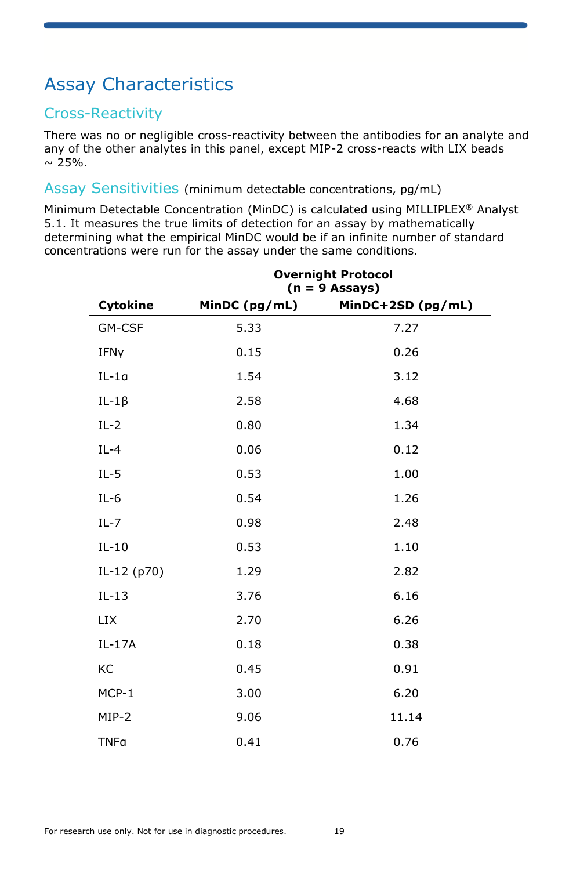## Assay Characteristics

### Cross-Reactivity

There was no or negligible cross-reactivity between the antibodies for an analyte and any of the other analytes in this panel, except MIP-2 cross-reacts with LIX beads  $\sim 25\%$ .

#### Assay Sensitivities (minimum detectable concentrations, pg/mL)

Minimum Detectable Concentration (MinDC) is calculated using MILLIPLEX<sup>®</sup> Analyst 5.1. It measures the true limits of detection for an assay by mathematically determining what the empirical MinDC would be if an infinite number of standard concentrations were run for the assay under the same conditions.

|             | <b>Overnight Protocol</b><br>$(n = 9 \text{ Assays})$ |                   |  |  |  |  |
|-------------|-------------------------------------------------------|-------------------|--|--|--|--|
| Cytokine    | MinDC (pg/mL)                                         | MinDC+2SD (pg/mL) |  |  |  |  |
| GM-CSF      | 5.33                                                  | 7.27              |  |  |  |  |
| IFNy        | 0.15                                                  | 0.26              |  |  |  |  |
| $IL-1a$     | 1.54                                                  | 3.12              |  |  |  |  |
| $IL-1\beta$ | 2.58                                                  | 4.68              |  |  |  |  |
| $IL-2$      | 0.80                                                  | 1.34              |  |  |  |  |
| $IL-4$      | 0.06                                                  | 0.12              |  |  |  |  |
| $IL-5$      | 0.53                                                  | 1.00              |  |  |  |  |
| $IL-6$      | 0.54                                                  | 1.26              |  |  |  |  |
| $IL-7$      | 0.98                                                  | 2.48              |  |  |  |  |
| $IL-10$     | 0.53                                                  | 1.10              |  |  |  |  |
| IL-12 (p70) | 1.29                                                  | 2.82              |  |  |  |  |
| $IL-13$     | 3.76                                                  | 6.16              |  |  |  |  |
| <b>LIX</b>  | 2.70                                                  | 6.26              |  |  |  |  |
| IL-17A      | 0.18                                                  | 0.38              |  |  |  |  |
| KC          | 0.45                                                  | 0.91              |  |  |  |  |
| $MCP-1$     | 3.00                                                  | 6.20              |  |  |  |  |
| $MIP-2$     | 9.06                                                  | 11.14             |  |  |  |  |
| <b>TNFa</b> | 0.41                                                  | 0.76              |  |  |  |  |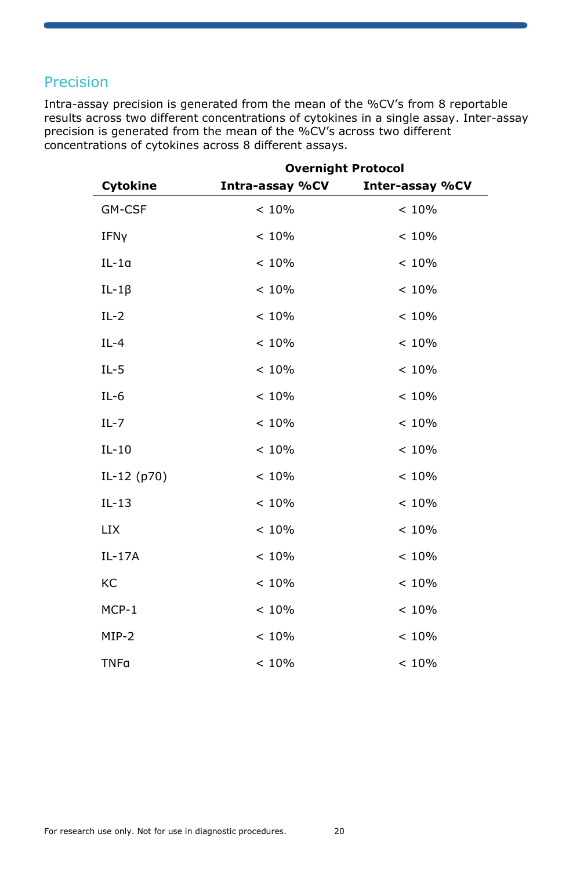### Precision

Intra-assay precision is generated from the mean of the %CV's from 8 reportable results across two different concentrations of cytokines in a single assay. Inter-assay precision is generated from the mean of the %CV's across two different concentrations of cytokines across 8 different assays.

|                 | <b>Overnight Protocol</b> |                 |  |  |  |  |  |
|-----------------|---------------------------|-----------------|--|--|--|--|--|
| <b>Cytokine</b> | Intra-assay %CV           | Inter-assay %CV |  |  |  |  |  |
| GM-CSF          | < 10%                     | < 10%           |  |  |  |  |  |
| IFNy            | < 10%                     | < 10%           |  |  |  |  |  |
| $IL-1a$         | < 10%                     | < 10%           |  |  |  |  |  |
| $IL-1\beta$     | < 10%                     | < 10%           |  |  |  |  |  |
| $IL-2$          | < 10%                     | < 10%           |  |  |  |  |  |
| $IL-4$          | < 10%                     | < 10%           |  |  |  |  |  |
| $IL-5$          | < 10%                     | < 10%           |  |  |  |  |  |
| $IL-6$          | < 10%                     | < 10%           |  |  |  |  |  |
| $IL-7$          | < 10%                     | < 10%           |  |  |  |  |  |
| $IL-10$         | < 10%                     | < 10%           |  |  |  |  |  |
| IL-12 (p70)     | < 10%                     | < 10%           |  |  |  |  |  |
| $IL-13$         | < 10%                     | < 10%           |  |  |  |  |  |
| <b>LIX</b>      | < 10%                     | < 10%           |  |  |  |  |  |
| IL-17A          | < 10%                     | < 10%           |  |  |  |  |  |
| KC              | < 10%                     | < 10%           |  |  |  |  |  |
| $MCP-1$         | < 10%                     | < 10%           |  |  |  |  |  |
| MIP-2           | < 10%                     | < 10%           |  |  |  |  |  |
| <b>TNFa</b>     | < 10%                     | < 10%           |  |  |  |  |  |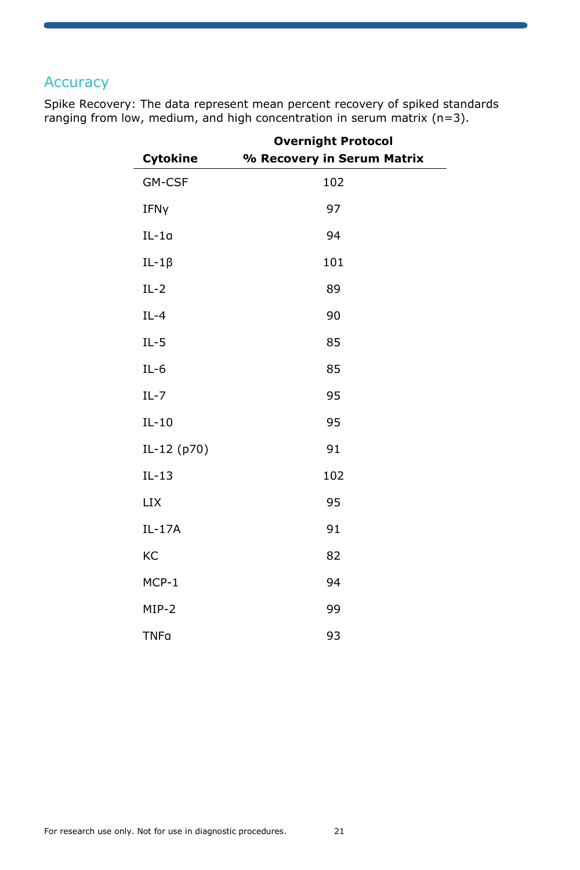### **Accuracy**

|             | <b>Overnight Protocol</b>  |  |  |  |  |
|-------------|----------------------------|--|--|--|--|
| Cytokine    | % Recovery in Serum Matrix |  |  |  |  |
| GM-CSF      | 102                        |  |  |  |  |
| IFNy        | 97                         |  |  |  |  |
| $IL-1a$     | 94                         |  |  |  |  |
| $IL-1\beta$ | 101                        |  |  |  |  |
| $IL-2$      | 89                         |  |  |  |  |
| $IL-4$      | 90                         |  |  |  |  |
| $IL-5$      | 85                         |  |  |  |  |
| $IL-6$      | 85                         |  |  |  |  |
| $IL - 7$    | 95                         |  |  |  |  |
| $IL-10$     | 95                         |  |  |  |  |
| IL-12 (p70) | 91                         |  |  |  |  |
| $IL-13$     | 102                        |  |  |  |  |
| <b>LIX</b>  | 95                         |  |  |  |  |
| IL-17A      | 91                         |  |  |  |  |
| KC          | 82                         |  |  |  |  |
| MCP-1       | 94                         |  |  |  |  |
| $MIP-2$     | 99                         |  |  |  |  |
| <b>TNFa</b> | 93                         |  |  |  |  |

Spike Recovery: The data represent mean percent recovery of spiked standards ranging from low, medium, and high concentration in serum matrix (n=3).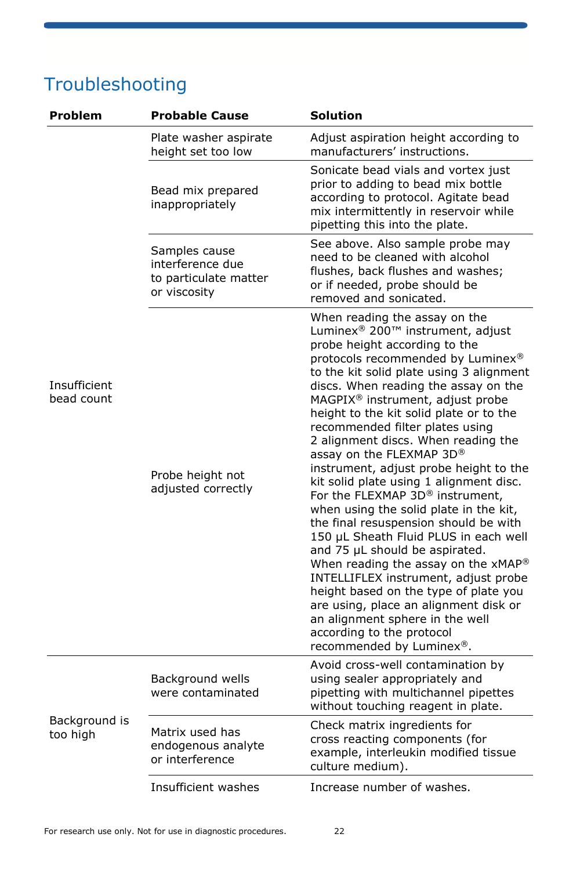## Troubleshooting

| Problem                    | <b>Probable Cause</b>                                                      | <b>Solution</b>                                                                                                                                                                                                                                                                                                                                                                                                                                                                                                                                                                                                                                                                                                                                                                                                                                                                                                                                                                                         |  |  |  |  |
|----------------------------|----------------------------------------------------------------------------|---------------------------------------------------------------------------------------------------------------------------------------------------------------------------------------------------------------------------------------------------------------------------------------------------------------------------------------------------------------------------------------------------------------------------------------------------------------------------------------------------------------------------------------------------------------------------------------------------------------------------------------------------------------------------------------------------------------------------------------------------------------------------------------------------------------------------------------------------------------------------------------------------------------------------------------------------------------------------------------------------------|--|--|--|--|
|                            | Plate washer aspirate<br>height set too low                                | Adjust aspiration height according to<br>manufacturers' instructions.                                                                                                                                                                                                                                                                                                                                                                                                                                                                                                                                                                                                                                                                                                                                                                                                                                                                                                                                   |  |  |  |  |
|                            | Bead mix prepared<br>inappropriately                                       | Sonicate bead vials and vortex just<br>prior to adding to bead mix bottle<br>according to protocol. Agitate bead<br>mix intermittently in reservoir while<br>pipetting this into the plate.                                                                                                                                                                                                                                                                                                                                                                                                                                                                                                                                                                                                                                                                                                                                                                                                             |  |  |  |  |
|                            | Samples cause<br>interference due<br>to particulate matter<br>or viscosity | See above. Also sample probe may<br>need to be cleaned with alcohol<br>flushes, back flushes and washes;<br>or if needed, probe should be<br>removed and sonicated.                                                                                                                                                                                                                                                                                                                                                                                                                                                                                                                                                                                                                                                                                                                                                                                                                                     |  |  |  |  |
| Insufficient<br>bead count | Probe height not<br>adjusted correctly                                     | When reading the assay on the<br>Luminex <sup>®</sup> 200 <sup>™</sup> instrument, adjust<br>probe height according to the<br>protocols recommended by Luminex®<br>to the kit solid plate using 3 alignment<br>discs. When reading the assay on the<br>MAGPIX <sup>®</sup> instrument, adjust probe<br>height to the kit solid plate or to the<br>recommended filter plates using<br>2 alignment discs. When reading the<br>assay on the FLEXMAP 3D®<br>instrument, adjust probe height to the<br>kit solid plate using 1 alignment disc.<br>For the FLEXMAP 3D® instrument,<br>when using the solid plate in the kit,<br>the final resuspension should be with<br>150 µL Sheath Fluid PLUS in each well<br>and 75 µL should be aspirated.<br>When reading the assay on the xMAP®<br>INTELLIFLEX instrument, adjust probe<br>height based on the type of plate you<br>are using, place an alignment disk or<br>an alignment sphere in the well<br>according to the protocol<br>recommended by Luminex®. |  |  |  |  |
|                            | Background wells<br>were contaminated                                      | Avoid cross-well contamination by<br>using sealer appropriately and<br>pipetting with multichannel pipettes<br>without touching reagent in plate.                                                                                                                                                                                                                                                                                                                                                                                                                                                                                                                                                                                                                                                                                                                                                                                                                                                       |  |  |  |  |
| Background is<br>too high  | Matrix used has<br>endogenous analyte<br>or interference                   | Check matrix ingredients for<br>cross reacting components (for<br>example, interleukin modified tissue<br>culture medium).                                                                                                                                                                                                                                                                                                                                                                                                                                                                                                                                                                                                                                                                                                                                                                                                                                                                              |  |  |  |  |
|                            | Insufficient washes                                                        | Increase number of washes.                                                                                                                                                                                                                                                                                                                                                                                                                                                                                                                                                                                                                                                                                                                                                                                                                                                                                                                                                                              |  |  |  |  |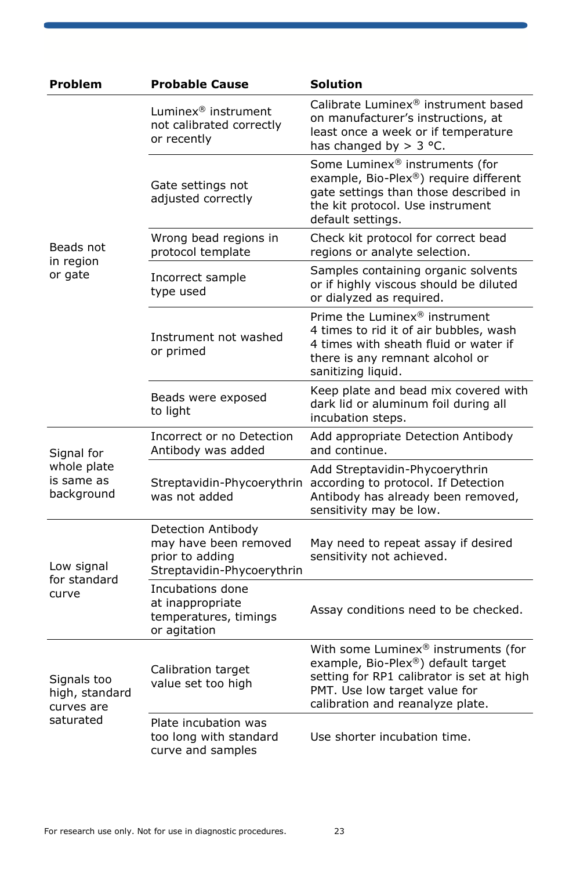| Problem                                     | <b>Probable Cause</b>                                                                               | <b>Solution</b>                                                                                                                                                                             |  |  |  |  |
|---------------------------------------------|-----------------------------------------------------------------------------------------------------|---------------------------------------------------------------------------------------------------------------------------------------------------------------------------------------------|--|--|--|--|
|                                             | Luminex <sup>®</sup> instrument<br>not calibrated correctly<br>or recently                          | Calibrate Luminex® instrument based<br>on manufacturer's instructions, at<br>least once a week or if temperature<br>has changed by $>$ 3 °C.                                                |  |  |  |  |
|                                             | Gate settings not<br>adjusted correctly                                                             | Some Luminex® instruments (for<br>example, Bio-Plex®) require different<br>gate settings than those described in<br>the kit protocol. Use instrument<br>default settings.                   |  |  |  |  |
| Beads not<br>in region                      | Wrong bead regions in<br>protocol template                                                          | Check kit protocol for correct bead<br>regions or analyte selection.                                                                                                                        |  |  |  |  |
| or gate                                     | Incorrect sample<br>type used                                                                       | Samples containing organic solvents<br>or if highly viscous should be diluted<br>or dialyzed as required.                                                                                   |  |  |  |  |
|                                             | Instrument not washed<br>or primed                                                                  | Prime the Luminex® instrument<br>4 times to rid it of air bubbles, wash<br>4 times with sheath fluid or water if<br>there is any remnant alcohol or<br>sanitizing liquid.                   |  |  |  |  |
|                                             | Beads were exposed<br>to light                                                                      | Keep plate and bead mix covered with<br>dark lid or aluminum foil during all<br>incubation steps.                                                                                           |  |  |  |  |
| Signal for                                  | Incorrect or no Detection<br>Antibody was added                                                     | Add appropriate Detection Antibody<br>and continue.                                                                                                                                         |  |  |  |  |
| whole plate<br>is same as<br>background     | Streptavidin-Phycoerythrin<br>was not added                                                         | Add Streptavidin-Phycoerythrin<br>according to protocol. If Detection<br>Antibody has already been removed,<br>sensitivity may be low.                                                      |  |  |  |  |
| Low signal<br>for standard                  | Detection Antibody<br>may have been removed<br>prior to adding<br>Streptavidin-Phycoerythrin        | May need to repeat assay if desired<br>sensitivity not achieved.                                                                                                                            |  |  |  |  |
| curve                                       | Incubations done<br>at inappropriate<br>temperatures, timings<br>or agitation                       | Assay conditions need to be checked.                                                                                                                                                        |  |  |  |  |
| Signals too<br>high, standard<br>curves are | Calibration target<br>value set too high                                                            | With some Luminex® instruments (for<br>example, Bio-Plex®) default target<br>setting for RP1 calibrator is set at high<br>PMT. Use low target value for<br>calibration and reanalyze plate. |  |  |  |  |
| saturated                                   | Plate incubation was<br>too long with standard<br>Use shorter incubation time.<br>curve and samples |                                                                                                                                                                                             |  |  |  |  |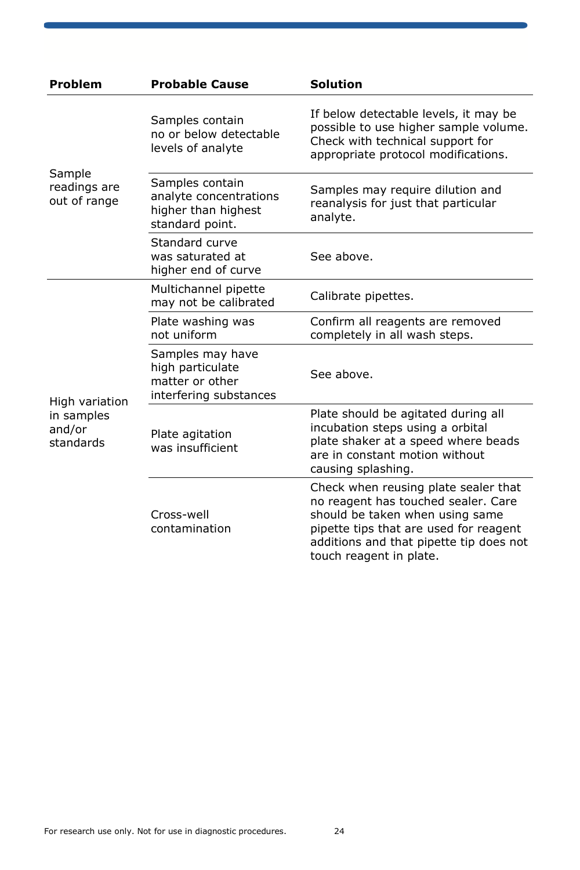| Problem                                             | <b>Probable Cause</b>                                                               | <b>Solution</b>                                                                                                                                                                                                                |  |  |  |  |
|-----------------------------------------------------|-------------------------------------------------------------------------------------|--------------------------------------------------------------------------------------------------------------------------------------------------------------------------------------------------------------------------------|--|--|--|--|
|                                                     | Samples contain<br>no or below detectable<br>levels of analyte                      | If below detectable levels, it may be<br>possible to use higher sample volume.<br>Check with technical support for<br>appropriate protocol modifications.                                                                      |  |  |  |  |
| Sample<br>readings are<br>out of range              | Samples contain<br>analyte concentrations<br>higher than highest<br>standard point. | Samples may require dilution and<br>reanalysis for just that particular<br>analyte.                                                                                                                                            |  |  |  |  |
|                                                     | Standard curve<br>was saturated at<br>higher end of curve                           | See above.                                                                                                                                                                                                                     |  |  |  |  |
|                                                     | Multichannel pipette<br>may not be calibrated                                       | Calibrate pipettes.                                                                                                                                                                                                            |  |  |  |  |
| High variation<br>in samples<br>and/or<br>standards | Plate washing was<br>not uniform                                                    | Confirm all reagents are removed<br>completely in all wash steps.                                                                                                                                                              |  |  |  |  |
|                                                     | Samples may have<br>high particulate<br>matter or other<br>interfering substances   | See above.                                                                                                                                                                                                                     |  |  |  |  |
|                                                     | Plate agitation<br>was insufficient                                                 | Plate should be agitated during all<br>incubation steps using a orbital<br>plate shaker at a speed where beads<br>are in constant motion without<br>causing splashing.                                                         |  |  |  |  |
|                                                     | Cross-well<br>contamination                                                         | Check when reusing plate sealer that<br>no reagent has touched sealer. Care<br>should be taken when using same<br>pipette tips that are used for reagent<br>additions and that pipette tip does not<br>touch reagent in plate. |  |  |  |  |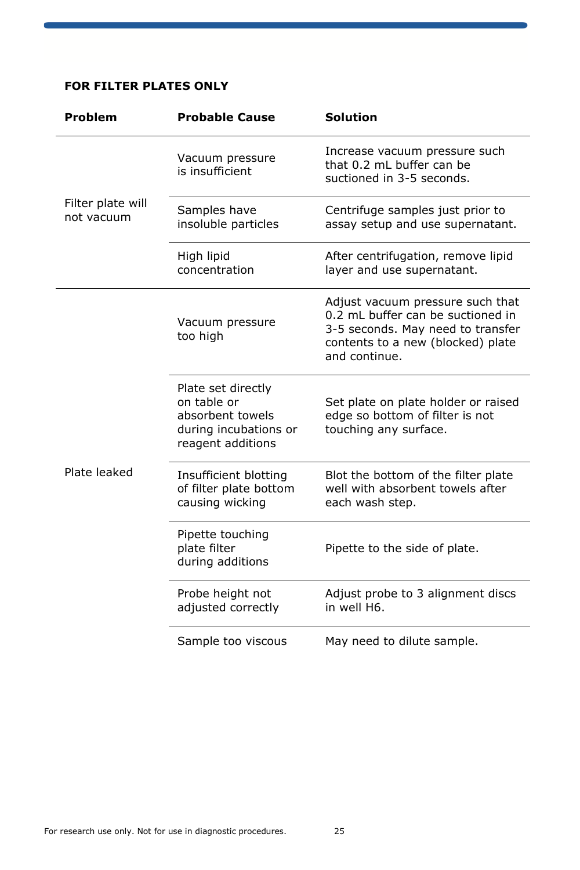### **FOR FILTER PLATES ONLY**

| Problem                         | <b>Probable Cause</b>                                                                               | <b>Solution</b>                                                                                                                                                  |  |  |  |  |
|---------------------------------|-----------------------------------------------------------------------------------------------------|------------------------------------------------------------------------------------------------------------------------------------------------------------------|--|--|--|--|
|                                 | Vacuum pressure<br>is insufficient                                                                  | Increase vacuum pressure such<br>that 0.2 mL buffer can be<br>suctioned in 3-5 seconds.                                                                          |  |  |  |  |
| Filter plate will<br>not vacuum | Samples have<br>insoluble particles                                                                 | Centrifuge samples just prior to<br>assay setup and use supernatant.                                                                                             |  |  |  |  |
|                                 | High lipid<br>concentration                                                                         | After centrifugation, remove lipid<br>layer and use supernatant.                                                                                                 |  |  |  |  |
|                                 | Vacuum pressure<br>too high                                                                         | Adjust vacuum pressure such that<br>0.2 mL buffer can be suctioned in<br>3-5 seconds. May need to transfer<br>contents to a new (blocked) plate<br>and continue. |  |  |  |  |
|                                 | Plate set directly<br>on table or<br>absorbent towels<br>during incubations or<br>reagent additions | Set plate on plate holder or raised<br>edge so bottom of filter is not<br>touching any surface.                                                                  |  |  |  |  |
| Plate leaked                    | Insufficient blotting<br>of filter plate bottom<br>causing wicking                                  | Blot the bottom of the filter plate<br>well with absorbent towels after<br>each wash step.                                                                       |  |  |  |  |
|                                 | Pipette touching<br>plate filter<br>during additions                                                | Pipette to the side of plate.                                                                                                                                    |  |  |  |  |
|                                 | Probe height not<br>adjusted correctly                                                              | Adjust probe to 3 alignment discs<br>in well H6.                                                                                                                 |  |  |  |  |
|                                 | Sample too viscous                                                                                  | May need to dilute sample.                                                                                                                                       |  |  |  |  |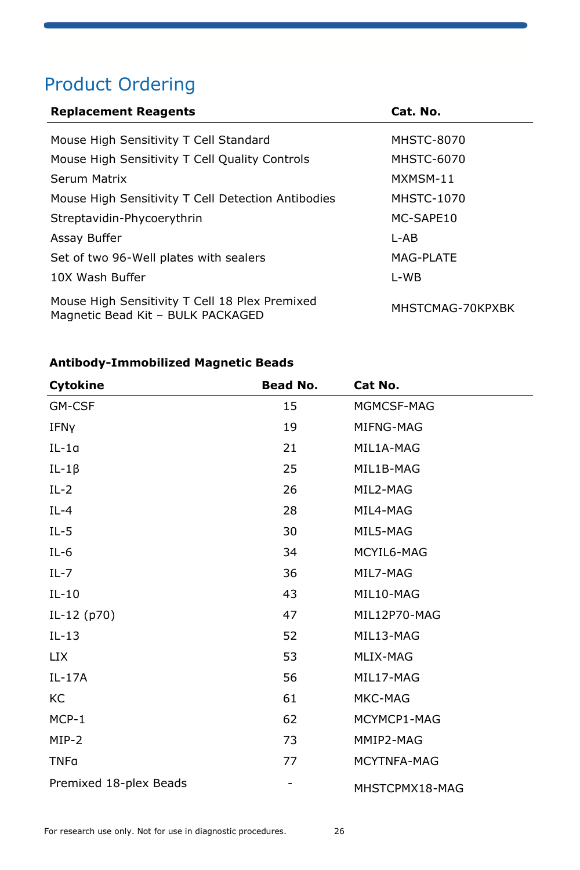## Product Ordering

| <b>Replacement Reagents</b>                                                         | Cat. No.          |
|-------------------------------------------------------------------------------------|-------------------|
| Mouse High Sensitivity T Cell Standard                                              | <b>MHSTC-8070</b> |
| Mouse High Sensitivity T Cell Quality Controls                                      | MHSTC-6070        |
| Serum Matrix                                                                        | MXMSM-11          |
| Mouse High Sensitivity T Cell Detection Antibodies                                  | <b>MHSTC-1070</b> |
| Streptavidin-Phycoerythrin                                                          | MC-SAPE10         |
| Assay Buffer                                                                        | I-AB              |
| Set of two 96-Well plates with sealers                                              | MAG-PLATE         |
| 10X Wash Buffer                                                                     | L-WB              |
| Mouse High Sensitivity T Cell 18 Plex Premixed<br>Magnetic Bead Kit - BULK PACKAGED | MHSTCMAG-70KPXBK  |

### **Antibody-Immobilized Magnetic Beads**

| Cytokine               | <b>Bead No.</b> | Cat No.        |
|------------------------|-----------------|----------------|
| GM-CSF                 | 15              | MGMCSF-MAG     |
| IFNY                   | 19              | MIFNG-MAG      |
| $IL-1a$                | 21              | MIL1A-MAG      |
| $IL-1\beta$            | 25              | MIL1B-MAG      |
| $IL-2$                 | 26              | MIL2-MAG       |
| $IL-4$                 | 28              | MIL4-MAG       |
| $IL-5$                 | 30              | MIL5-MAG       |
| $IL-6$                 | 34              | MCYIL6-MAG     |
| $IL - 7$               | 36              | MIL7-MAG       |
| $IL-10$                | 43              | MIL10-MAG      |
| $IL-12(p70)$           | 47              | MIL12P70-MAG   |
| $IL-13$                | 52              | MIL13-MAG      |
| <b>LIX</b>             | 53              | MLIX-MAG       |
| $IL-17A$               | 56              | MIL17-MAG      |
| KC                     | 61              | MKC-MAG        |
| $MCP-1$                | 62              | MCYMCP1-MAG    |
| MIP-2                  | 73              | MMIP2-MAG      |
| <b>TNFa</b>            | 77              | MCYTNFA-MAG    |
| Premixed 18-plex Beads | -               | MHSTCPMX18-MAG |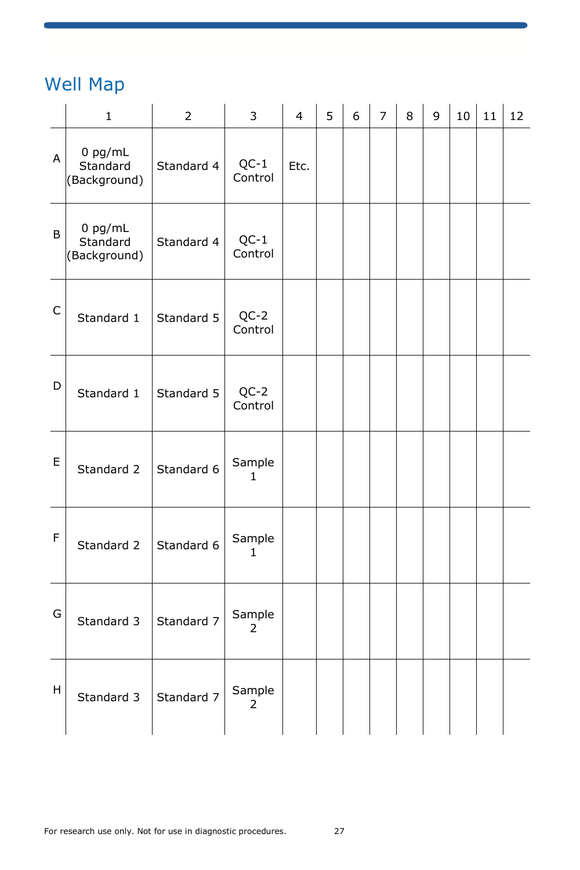## Well Map

|             | $\mathbf{1}$                          | $\overline{2}$ | 3                        | $\overline{4}$ | 5 | 6 | 7 | 8 | 9 | 10 | 11 | 12 |
|-------------|---------------------------------------|----------------|--------------------------|----------------|---|---|---|---|---|----|----|----|
| A           | $0$ pg/mL<br>Standard<br>(Background) | Standard 4     | $QC-1$<br>Control        | Etc.           |   |   |   |   |   |    |    |    |
| B           | $0$ pg/mL<br>Standard<br>(Background) | Standard 4     | $QC-1$<br>Control        |                |   |   |   |   |   |    |    |    |
| $\mathsf C$ | Standard 1                            | Standard 5     | $QC-2$<br>Control        |                |   |   |   |   |   |    |    |    |
| D           | Standard 1                            | Standard 5     | $QC-2$<br>Control        |                |   |   |   |   |   |    |    |    |
| E           | Standard 2                            | Standard 6     | Sample<br>1              |                |   |   |   |   |   |    |    |    |
| F           | Standard 2                            | Standard 6     | Sample<br>1              |                |   |   |   |   |   |    |    |    |
| G           | Standard 3                            | Standard 7     | Sample<br>$\overline{2}$ |                |   |   |   |   |   |    |    |    |
| н           | Standard 3                            | Standard 7     | Sample<br>2              |                |   |   |   |   |   |    |    |    |